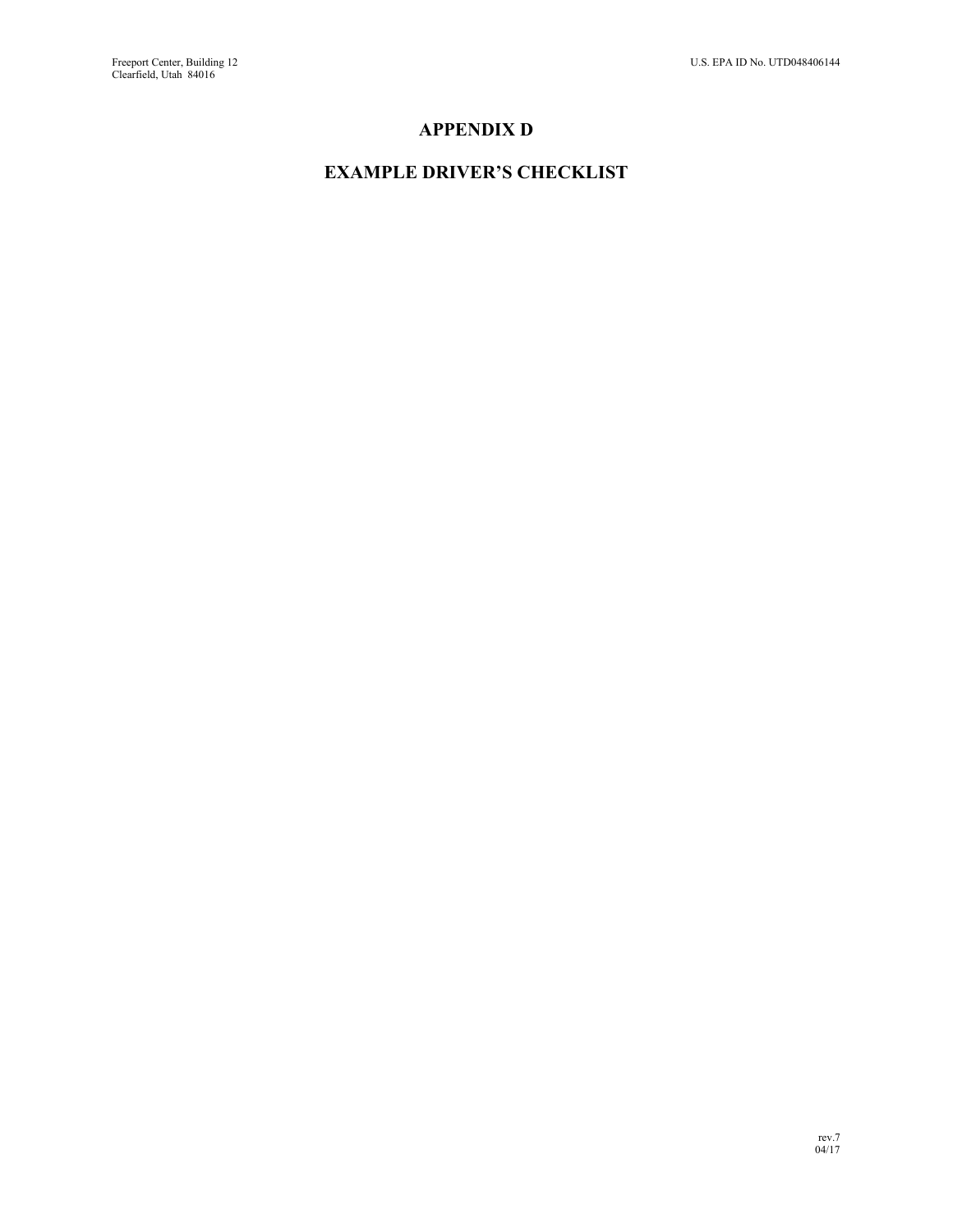## **APPENDIX D**

## **EXAMPLE DRIVER'S CHECKLIST**